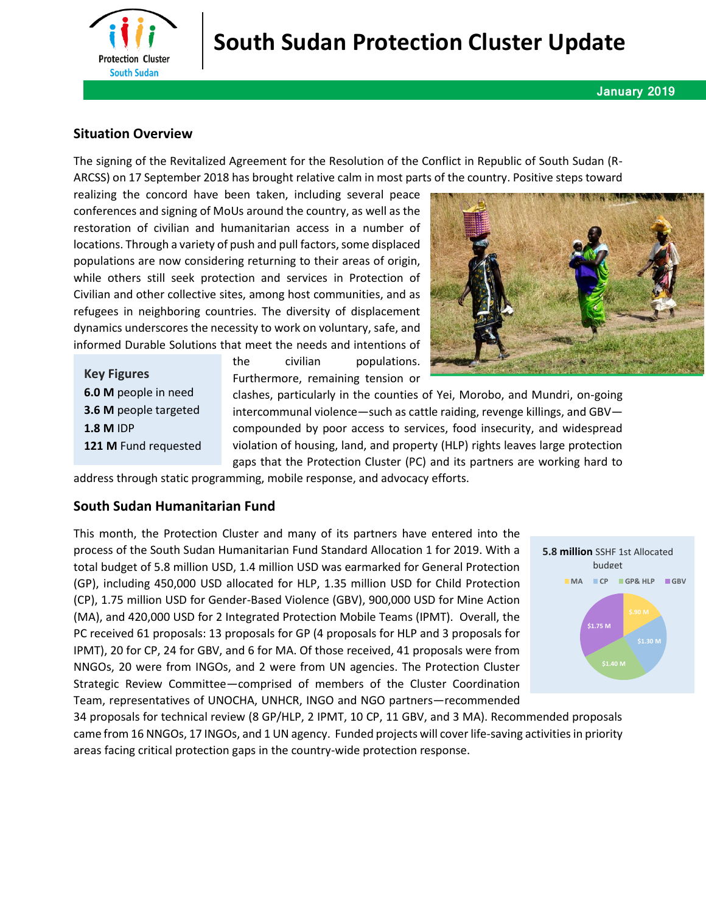

# **South Sudan Protection Cluster Update**

#### **January 2019**

## **Situation Overview**

The signing of the Revitalized Agreement for the Resolution of the Conflict in Republic of South Sudan (R-ARCSS) on 17 September 2018 has brought relative calm in most parts of the country. Positive steps toward

realizing the concord have been taken, including several peace conferences and signing of MoUs around the country, as well as the restoration of civilian and humanitarian access in a number of locations. Through a variety of push and pull factors, some displaced populations are now considering returning to their areas of origin, while others still seek protection and services in Protection of Civilian and other collective sites, among host communities, and as refugees in neighboring countries. The diversity of displacement dynamics underscores the necessity to work on voluntary, safe, and informed Durable Solutions that meet the needs and intentions of

**Key Figures 6.0 M** people in need **3.6 M** people targeted **1.8 M** IDP **121 M** Fund requested the civilian populations. Furthermore, remaining tension or



clashes, particularly in the counties of Yei, Morobo, and Mundri, on-going intercommunal violence—such as cattle raiding, revenge killings, and GBV compounded by poor access to services, food insecurity, and widespread violation of housing, land, and property (HLP) rights leaves large protection gaps that the Protection Cluster (PC) and its partners are working hard to

address through static programming, mobile response, and advocacy efforts.

#### **South Sudan Humanitarian Fund**

This month, the Protection Cluster and many of its partners have entered into the process of the South Sudan Humanitarian Fund Standard Allocation 1 for 2019. With a total budget of 5.8 million USD, 1.4 million USD was earmarked for General Protection (GP), including 450,000 USD allocated for HLP, 1.35 million USD for Child Protection (CP), 1.75 million USD for Gender-Based Violence (GBV), 900,000 USD for Mine Action (MA), and 420,000 USD for 2 Integrated Protection Mobile Teams (IPMT). Overall, the PC received 61 proposals: 13 proposals for GP (4 proposals for HLP and 3 proposals for IPMT), 20 for CP, 24 for GBV, and 6 for MA. Of those received, 41 proposals were from NNGOs, 20 were from INGOs, and 2 were from UN agencies. The Protection Cluster Strategic Review Committee—comprised of members of the Cluster Coordination Team, representatives of UNOCHA, UNHCR, INGO and NGO partners—recommended



34 proposals for technical review (8 GP/HLP, 2 IPMT, 10 CP, 11 GBV, and 3 MA). Recommended proposals came from 16 NNGOs, 17 INGOs, and 1 UN agency. Funded projects will cover life-saving activities in priority areas facing critical protection gaps in the country-wide protection response.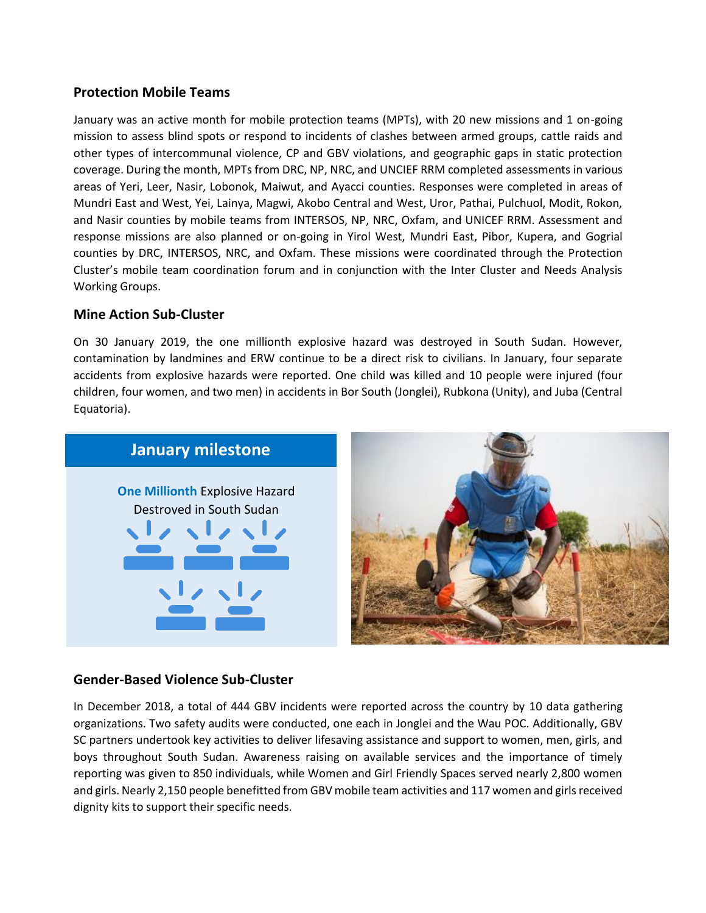# **Protection Mobile Teams**

January was an active month for mobile protection teams (MPTs), with 20 new missions and 1 on-going mission to assess blind spots or respond to incidents of clashes between armed groups, cattle raids and other types of intercommunal violence, CP and GBV violations, and geographic gaps in static protection coverage. During the month, MPTs from DRC, NP, NRC, and UNCIEF RRM completed assessments in various areas of Yeri, Leer, Nasir, Lobonok, Maiwut, and Ayacci counties. Responses were completed in areas of Mundri East and West, Yei, Lainya, Magwi, Akobo Central and West, Uror, Pathai, Pulchuol, Modit, Rokon, and Nasir counties by mobile teams from INTERSOS, NP, NRC, Oxfam, and UNICEF RRM. Assessment and response missions are also planned or on-going in Yirol West, Mundri East, Pibor, Kupera, and Gogrial counties by DRC, INTERSOS, NRC, and Oxfam. These missions were coordinated through the Protection Cluster's mobile team coordination forum and in conjunction with the Inter Cluster and Needs Analysis Working Groups.

## **Mine Action Sub-Cluster**

On 30 January 2019, the one millionth explosive hazard was destroyed in South Sudan. However, contamination by landmines and ERW continue to be a direct risk to civilians. In January, four separate accidents from explosive hazards were reported. One child was killed and 10 people were injured (four children, four women, and two men) in accidents in Bor South (Jonglei), Rubkona (Unity), and Juba (Central Equatoria).



# **Gender-Based Violence Sub-Cluster**

In December 2018, a total of 444 GBV incidents were reported across the country by 10 data gathering organizations. Two safety audits were conducted, one each in Jonglei and the Wau POC. Additionally, GBV SC partners undertook key activities to deliver lifesaving assistance and support to women, men, girls, and boys throughout South Sudan. Awareness raising on available services and the importance of timely reporting was given to 850 individuals, while Women and Girl Friendly Spaces served nearly 2,800 women and girls. Nearly 2,150 people benefitted from GBV mobile team activities and 117 women and girls received dignity kits to support their specific needs.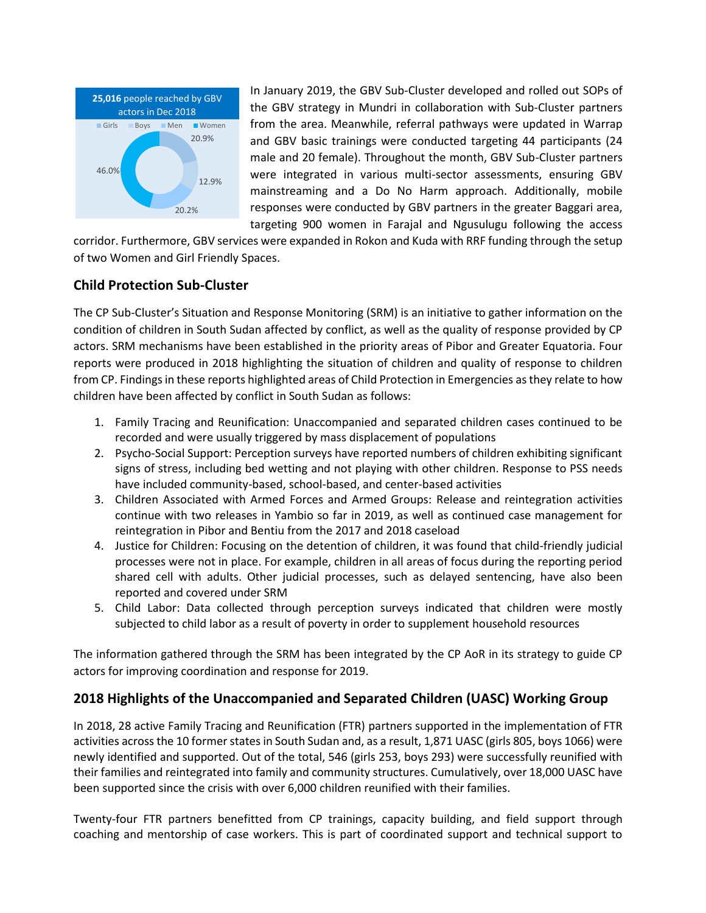

In January 2019, the GBV Sub-Cluster developed and rolled out SOPs of the GBV strategy in Mundri in collaboration with Sub-Cluster partners from the area. Meanwhile, referral pathways were updated in Warrap and GBV basic trainings were conducted targeting 44 participants (24 male and 20 female). Throughout the month, GBV Sub-Cluster partners were integrated in various multi-sector assessments, ensuring GBV mainstreaming and a Do No Harm approach. Additionally, mobile responses were conducted by GBV partners in the greater Baggari area, targeting 900 women in Farajal and Ngusulugu following the access

corridor. Furthermore, GBV services were expanded in Rokon and Kuda with RRF funding through the setup of two Women and Girl Friendly Spaces.

# **Child Protection Sub-Cluster**

The CP Sub-Cluster's Situation and Response Monitoring (SRM) is an initiative to gather information on the condition of children in South Sudan affected by conflict, as well as the quality of response provided by CP actors. SRM mechanisms have been established in the priority areas of Pibor and Greater Equatoria. Four reports were produced in 2018 highlighting the situation of children and quality of response to children from CP. Findings in these reports highlighted areas of Child Protection in Emergencies as they relate to how children have been affected by conflict in South Sudan as follows:

- 1. Family Tracing and Reunification: Unaccompanied and separated children cases continued to be recorded and were usually triggered by mass displacement of populations
- 2. Psycho-Social Support: Perception surveys have reported numbers of children exhibiting significant signs of stress, including bed wetting and not playing with other children. Response to PSS needs have included community-based, school-based, and center-based activities
- 3. Children Associated with Armed Forces and Armed Groups: Release and reintegration activities continue with two releases in Yambio so far in 2019, as well as continued case management for reintegration in Pibor and Bentiu from the 2017 and 2018 caseload
- 4. Justice for Children: Focusing on the detention of children, it was found that child-friendly judicial processes were not in place. For example, children in all areas of focus during the reporting period shared cell with adults. Other judicial processes, such as delayed sentencing, have also been reported and covered under SRM
- 5. Child Labor: Data collected through perception surveys indicated that children were mostly subjected to child labor as a result of poverty in order to supplement household resources

The information gathered through the SRM has been integrated by the CP AoR in its strategy to guide CP actors for improving coordination and response for 2019.

# **2018 Highlights of the Unaccompanied and Separated Children (UASC) Working Group**

In 2018, 28 active Family Tracing and Reunification (FTR) partners supported in the implementation of FTR activities across the 10 former states in South Sudan and, as a result, 1,871 UASC (girls 805, boys 1066) were newly identified and supported. Out of the total, 546 (girls 253, boys 293) were successfully reunified with their families and reintegrated into family and community structures. Cumulatively, over 18,000 UASC have been supported since the crisis with over 6,000 children reunified with their families.

Twenty-four FTR partners benefitted from CP trainings, capacity building, and field support through coaching and mentorship of case workers. This is part of coordinated support and technical support to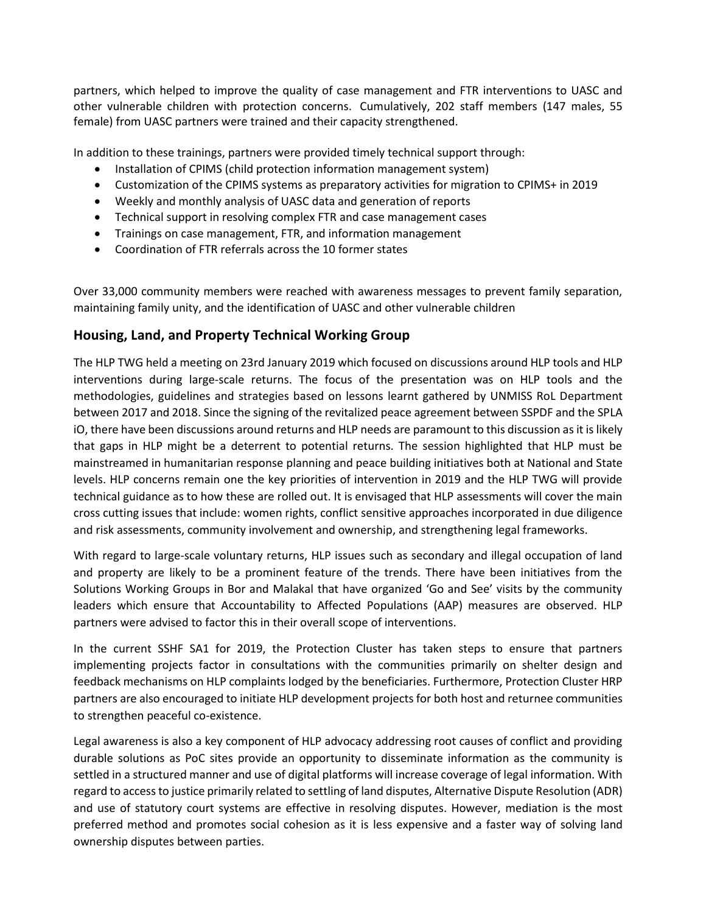partners, which helped to improve the quality of case management and FTR interventions to UASC and other vulnerable children with protection concerns. Cumulatively, 202 staff members (147 males, 55 female) from UASC partners were trained and their capacity strengthened.

In addition to these trainings, partners were provided timely technical support through:

- Installation of CPIMS (child protection information management system)
- Customization of the CPIMS systems as preparatory activities for migration to CPIMS+ in 2019
- Weekly and monthly analysis of UASC data and generation of reports
- Technical support in resolving complex FTR and case management cases
- Trainings on case management, FTR, and information management
- Coordination of FTR referrals across the 10 former states

Over 33,000 community members were reached with awareness messages to prevent family separation, maintaining family unity, and the identification of UASC and other vulnerable children

## **Housing, Land, and Property Technical Working Group**

The HLP TWG held a meeting on 23rd January 2019 which focused on discussions around HLP tools and HLP interventions during large-scale returns. The focus of the presentation was on HLP tools and the methodologies, guidelines and strategies based on lessons learnt gathered by UNMISS RoL Department between 2017 and 2018. Since the signing of the revitalized peace agreement between SSPDF and the SPLA iO, there have been discussions around returns and HLP needs are paramount to this discussion as it is likely that gaps in HLP might be a deterrent to potential returns. The session highlighted that HLP must be mainstreamed in humanitarian response planning and peace building initiatives both at National and State levels. HLP concerns remain one the key priorities of intervention in 2019 and the HLP TWG will provide technical guidance as to how these are rolled out. It is envisaged that HLP assessments will cover the main cross cutting issues that include: women rights, conflict sensitive approaches incorporated in due diligence and risk assessments, community involvement and ownership, and strengthening legal frameworks.

With regard to large-scale voluntary returns, HLP issues such as secondary and illegal occupation of land and property are likely to be a prominent feature of the trends. There have been initiatives from the Solutions Working Groups in Bor and Malakal that have organized 'Go and See' visits by the community leaders which ensure that Accountability to Affected Populations (AAP) measures are observed. HLP partners were advised to factor this in their overall scope of interventions.

In the current SSHF SA1 for 2019, the Protection Cluster has taken steps to ensure that partners implementing projects factor in consultations with the communities primarily on shelter design and feedback mechanisms on HLP complaints lodged by the beneficiaries. Furthermore, Protection Cluster HRP partners are also encouraged to initiate HLP development projects for both host and returnee communities to strengthen peaceful co-existence.

Legal awareness is also a key component of HLP advocacy addressing root causes of conflict and providing durable solutions as PoC sites provide an opportunity to disseminate information as the community is settled in a structured manner and use of digital platforms will increase coverage of legal information. With regard to access to justice primarily related to settling of land disputes, Alternative Dispute Resolution (ADR) and use of statutory court systems are effective in resolving disputes. However, mediation is the most preferred method and promotes social cohesion as it is less expensive and a faster way of solving land ownership disputes between parties.